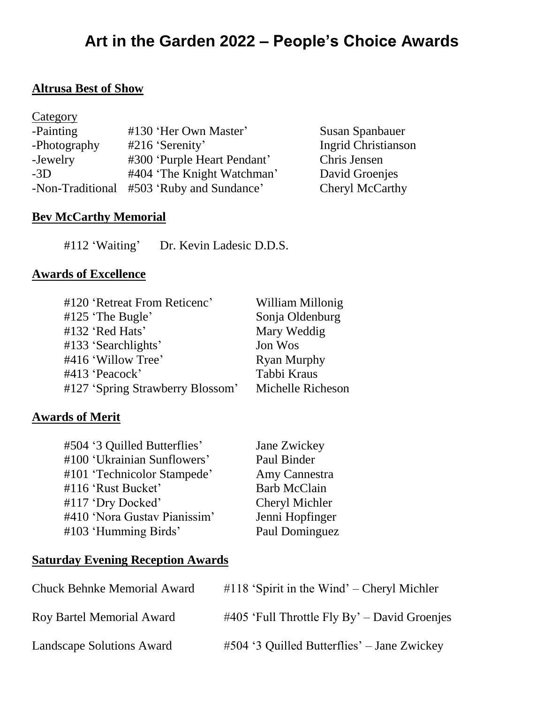# **Art in the Garden 2022 – People's Choice Awards**

#### **Altrusa Best of Show**

| Category         |                             |                            |
|------------------|-----------------------------|----------------------------|
| -Painting        | #130 'Her Own Master'       | <b>Susan Spanbauer</b>     |
| -Photography     | $#216$ 'Serenity'           | <b>Ingrid Christianson</b> |
| -Jewelry         | #300 'Purple Heart Pendant' | Chris Jensen               |
| $-3D$            | #404 'The Knight Watchman'  | David Groenjes             |
| -Non-Traditional | #503 'Ruby and Sundance'    | Cheryl McCarthy            |

## **Bev McCarthy Memorial**

#112 'Waiting' Dr. Kevin Ladesic D.D.S.

### **Awards of Excellence**

| #120 'Retreat From Reticenc'     | William Millonig   |
|----------------------------------|--------------------|
| $#125$ 'The Bugle'               | Sonja Oldenburg    |
| #132 'Red Hats'                  | Mary Weddig        |
| #133 'Searchlights'              | Jon Wos            |
| #416 'Willow Tree'               | <b>Ryan Murphy</b> |
| #413 'Peacock'                   | Tabbi Kraus        |
| #127 'Spring Strawberry Blossom' | Michelle Richeson  |

## **Awards of Merit**

| #504 '3 Quilled Butterflies' | Jane Zwickey          |
|------------------------------|-----------------------|
| #100 'Ukrainian Sunflowers'  | Paul Binder           |
| #101 'Technicolor Stampede'  | Amy Cannestra         |
| #116 'Rust Bucket'           | <b>Barb McClain</b>   |
| #117 'Dry Docked'            | <b>Cheryl Michler</b> |
| #410 'Nora Gustav Pianissim' | Jenni Hopfinger       |
| #103 'Humming Birds'         | Paul Dominguez        |
|                              |                       |

## **Saturday Evening Reception Awards**

| <b>Chuck Behnke Memorial Award</b> | $\#118$ 'Spirit in the Wind' – Cheryl Michler   |
|------------------------------------|-------------------------------------------------|
| Roy Bartel Memorial Award          | $\#405$ 'Full Throttle Fly By' – David Groenjes |
| <b>Landscape Solutions Award</b>   | $#504$ '3 Quilled Butterflies' – Jane Zwickey   |